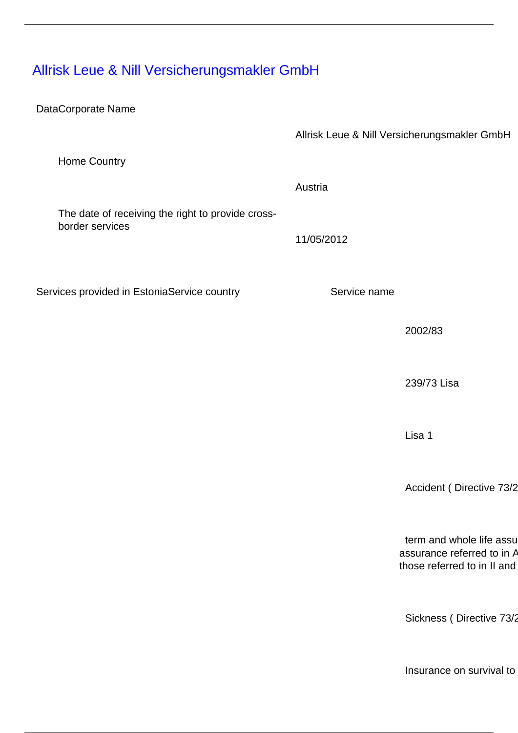[Allrisk Leue & Nill Versicherungsmakler GmbH](/en/insurance-0/insurance/insurance-intermediaries/providers-cross-border-insurance-mediation-services/allrisk-leue-nill-versicherungsmakler-gmbh)

DataCorporate Name

Allrisk Leue & Nill Versicherungsmakler GmbH

Austria

11/05/2012

Home Country

The date of receiving the right to provide crossborder services

Services provided in EstoniaService country Service name

2002/83

239/73 Lisa

Lisa 1

Accident ( Directive 73/2

term and whole life assu assurance referred to in  $A$ those referred to in II and

Sickness ( Directive 73/2

Insurance on survival to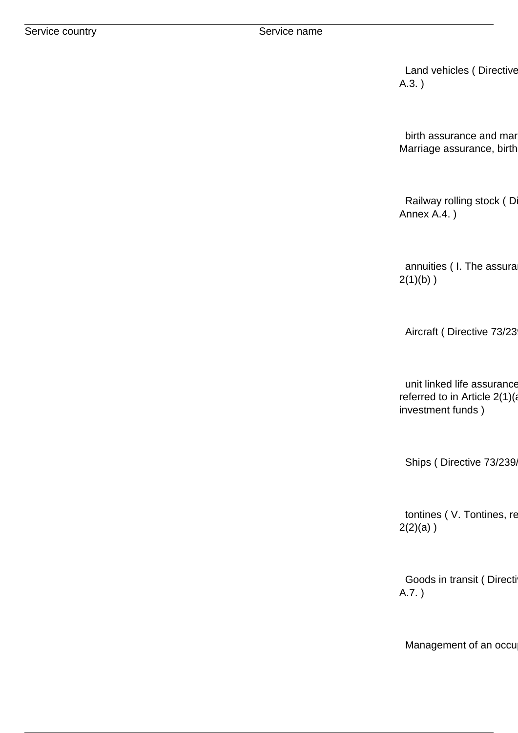Land vehicles ( Directive A.3. )

birth assurance and mar Marriage assurance, birth

Railway rolling stock (D Annex A.4. )

annuities ( I. The assura 2(1)(b) )

Aircraft ( Directive 73/23

unit linked life assurance referred to in Article  $2(1)(a)$ investment funds )

Ships ( Directive 73/239/

tontines ( V. Tontines, re  $2(2)(a)$ )

Goods in transit ( Directi A.7. )

Management of an occu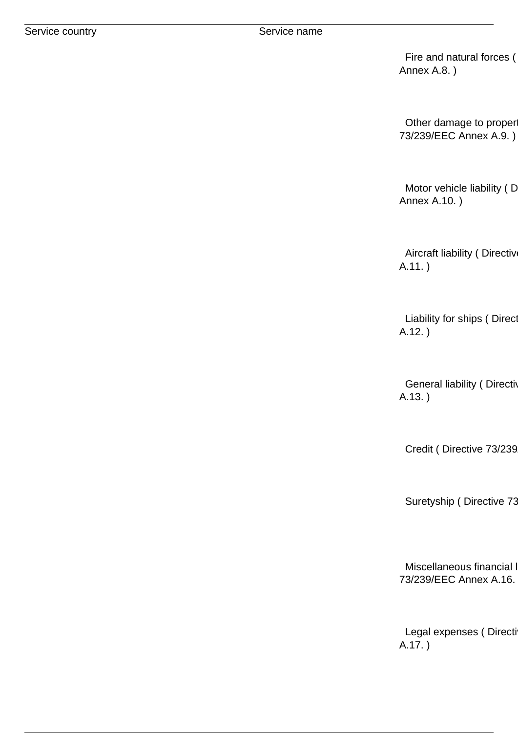Fire and natural forces ( Annex A.8. )

Other damage to proper 73/239/EEC Annex A.9. )

Motor vehicle liability (D Annex A.10. )

Aircraft liability ( Directiv A.11. )

Liability for ships ( Direct A.12. )

General liability ( Directive A.13. )

Credit ( Directive 73/239

Suretyship ( Directive 73

Miscellaneous financial l 73/239/EEC Annex A.16. )

Legal expenses ( Directi A.17. )